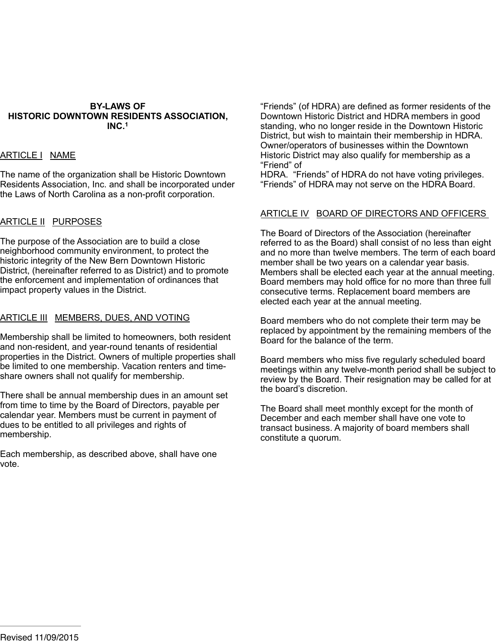#### **BY-LAWS OF HISTORIC DOWNTOWN RESIDENTS ASSOCIATION, INC.1**

## ARTICLE I NAME

The name of the organization shall be Historic Downtown Residents Association, Inc. and shall be incorporated under the Laws of North Carolina as a non-profit corporation.

# ARTICLE II PURPOSES

The purpose of the Association are to build a close neighborhood community environment, to protect the historic integrity of the New Bern Downtown Historic District, (hereinafter referred to as District) and to promote the enforcement and implementation of ordinances that impact property values in the District.

## ARTICLE III MEMBERS, DUES, AND VOTING

Membership shall be limited to homeowners, both resident and non-resident, and year-round tenants of residential properties in the District. Owners of multiple properties shall be limited to one membership. Vacation renters and timeshare owners shall not qualify for membership.

There shall be annual membership dues in an amount set from time to time by the Board of Directors, payable per calendar year. Members must be current in payment of dues to be entitled to all privileges and rights of membership.

Each membership, as described above, shall have one vote.

"Friends" (of HDRA) are defined as former residents of the Downtown Historic District and HDRA members in good standing, who no longer reside in the Downtown Historic District, but wish to maintain their membership in HDRA. Owner/operators of businesses within the Downtown Historic District may also qualify for membership as a "Friend" of

HDRA. "Friends" of HDRA do not have voting privileges. "Friends" of HDRA may not serve on the HDRA Board.

# ARTICLE IV BOARD OF DIRECTORS AND OFFICERS

The Board of Directors of the Association (hereinafter referred to as the Board) shall consist of no less than eight and no more than twelve members. The term of each board member shall be two years on a calendar year basis. Members shall be elected each year at the annual meeting. Board members may hold office for no more than three full consecutive terms. Replacement board members are elected each year at the annual meeting.

Board members who do not complete their term may be replaced by appointment by the remaining members of the Board for the balance of the term.

Board members who miss five regularly scheduled board meetings within any twelve-month period shall be subject to review by the Board. Their resignation may be called for at the board's discretion.

The Board shall meet monthly except for the month of December and each member shall have one vote to transact business. A majority of board members shall constitute a quorum.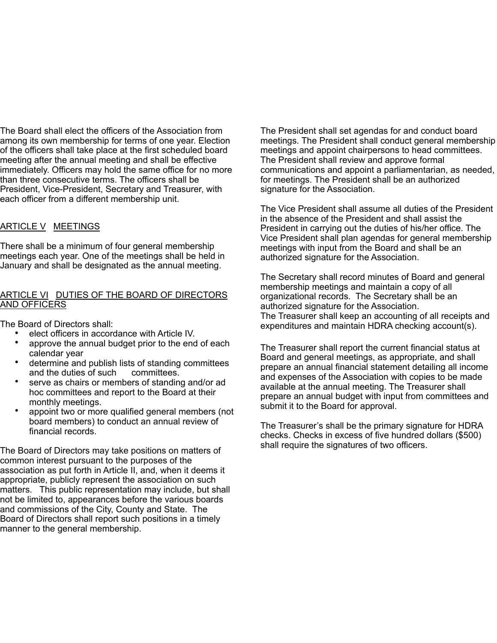The Board shall elect the officers of the Association from among its own membership for terms of one year. Election of the officers shall take place at the first scheduled board meeting after the annual meeting and shall be effective immediately. Officers may hold the same office for no more than three consecutive terms. The officers shall be President, Vice-President, Secretary and Treasurer, with each officer from a different membership unit.

### ARTICLE V MEETINGS

There shall be a minimum of four general membership meetings each year. One of the meetings shall be held in January and shall be designated as the annual meeting.

#### ARTICLE VI DUTIES OF THE BOARD OF DIRECTORS AND OFFICERS

The Board of Directors shall:

- elect officers in accordance with Article IV.
- approve the annual budget prior to the end of each calendar year
- determine and publish lists of standing committees and the duties of such committees.
- serve as chairs or members of standing and/or ad hoc committees and report to the Board at their monthly meetings.
- appoint two or more qualified general members (not board members) to conduct an annual review of financial records.

The Board of Directors may take positions on matters of common interest pursuant to the purposes of the association as put forth in Article II, and, when it deems it appropriate, publicly represent the association on such matters. This public representation may include, but shall not be limited to, appearances before the various boards and commissions of the City, County and State. The Board of Directors shall report such positions in a timely manner to the general membership.

The President shall set agendas for and conduct board meetings. The President shall conduct general membership meetings and appoint chairpersons to head committees. The President shall review and approve formal communications and appoint a parliamentarian, as needed, for meetings. The President shall be an authorized signature for the Association.

The Vice President shall assume all duties of the President in the absence of the President and shall assist the President in carrying out the duties of his/her office. The Vice President shall plan agendas for general membership meetings with input from the Board and shall be an authorized signature for the Association.

The Secretary shall record minutes of Board and general membership meetings and maintain a copy of all organizational records. The Secretary shall be an authorized signature for the Association. The Treasurer shall keep an accounting of all receipts and expenditures and maintain HDRA checking account(s).

The Treasurer shall report the current financial status at Board and general meetings, as appropriate, and shall prepare an annual financial statement detailing all income and expenses of the Association with copies to be made available at the annual meeting. The Treasurer shall prepare an annual budget with input from committees and submit it to the Board for approval.

The Treasurer's shall be the primary signature for HDRA checks. Checks in excess of five hundred dollars (\$500) shall require the signatures of two officers.